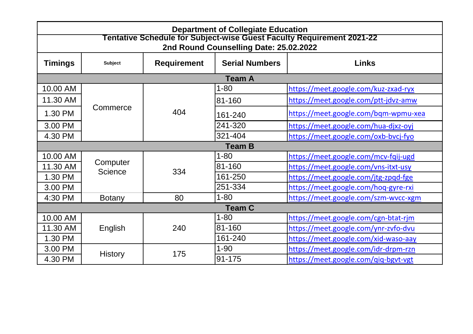10.00 AM 1-80 <https://meet.google.com/kuz-zxad-ryx>

ps://meet.google.com/ptt-jdvz-amw

ps://meet.google.com/bqm-wpmu-xea

ps://meet.google.com/hua-djxz-oyj

ps://meet.google.com/oxb-bvcj-fyo

ps://meet.google.com/mcv-fqij-ugd ps://meet.google.com/vns-itxt-usy ps://meet.google.com/jtg-zpqd-fge ps://meet.google.com/hoq-gyre-rxi ps://meet.google.com/szm-wvcc-xgm

ps://meet.google.com/cgn-btat-rjm ps://meet.google.com/ynr-zvfo-dvu ps://meet.google.com/xid-waso-aay ps://meet.google.com/idr-drpm-rzn ps://meet.google.com/qiq-bgvt-vgt

## **Requirement 2021-22 2nd Round Counselling Date: 25.02.2022**

|                |                            |                    | <b>Department of Collegiate Education</b><br>2nd Round Counselling Date: 25.02.2022 | Tentative Schedule for Subject-wise Guest Faculty Requirement 2021-22 |
|----------------|----------------------------|--------------------|-------------------------------------------------------------------------------------|-----------------------------------------------------------------------|
| <b>Timings</b> | <b>Subject</b>             | <b>Requirement</b> | <b>Serial Numbers</b>                                                               | <b>Links</b>                                                          |
|                |                            |                    | <b>Team A</b>                                                                       |                                                                       |
| 10.00 AM       |                            |                    | $1 - 80$                                                                            | https://meet.google.com/l                                             |
| 11.30 AM       |                            |                    | 81-160                                                                              | https://meet.google.com/                                              |
| 1.30 PM        | Commerce                   | 404                | 161-240                                                                             | https://meet.google.com/l                                             |
| 3.00 PM        |                            |                    | 241-320                                                                             | https://meet.google.com/l                                             |
| 4.30 PM        |                            |                    | 321-404                                                                             | https://meet.google.com/                                              |
|                |                            |                    | <b>Team B</b>                                                                       |                                                                       |
| 10.00 AM       |                            |                    | $1 - 80$                                                                            | https://meet.google.com/                                              |
| 11.30 AM       | Computer<br><b>Science</b> | 334                | 81-160                                                                              | https://meet.google.com/                                              |
| 1.30 PM        |                            |                    | 161-250                                                                             | https://meet.google.com/                                              |
| 3.00 PM        |                            |                    | 251-334                                                                             | https://meet.google.com/l                                             |
| 4:30 PM        | <b>Botany</b>              | 80                 | $1 - 80$                                                                            | https://meet.google.com/                                              |
|                |                            |                    | <b>Team C</b>                                                                       |                                                                       |
| 10.00 AM       |                            |                    | $1 - 80$                                                                            | https://meet.google.com/                                              |
| 11.30 AM       | English                    | 240                | 81-160                                                                              | https://meet.google.com/                                              |
| 1.30 PM        |                            |                    | 161-240                                                                             | https://meet.google.com/                                              |
| 3.00 PM        |                            | 175                | $1 - 90$                                                                            | https://meet.google.com/i                                             |
| 4.30 PM        | <b>History</b>             |                    | $ 91 - 175 $                                                                        | https://meet.google.com/                                              |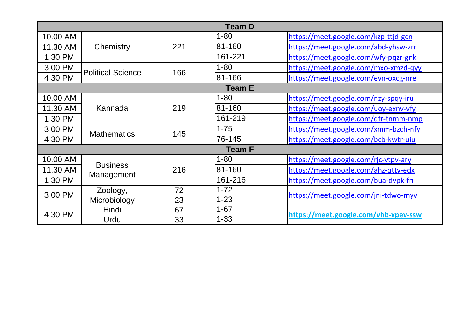|               |                          |     | <b>Team D</b> |             |
|---------------|--------------------------|-----|---------------|-------------|
| 10.00 AM      |                          |     | $1 - 80$      | httr        |
| 11.30 AM      | Chemistry                | 221 | 81-160        | httr        |
| 1.30 PM       |                          |     | 161-221       | <u>httr</u> |
| 3.00 PM       | <b>Political Science</b> | 166 | $1 - 80$      | <u>httr</u> |
| 4.30 PM       |                          |     | 81-166        | httr        |
| <b>Team E</b> |                          |     |               |             |
| 10.00 AM      | Kannada                  |     | $1 - 80$      | httr        |
| 11.30 AM      |                          | 219 | 81-160        | httr        |
| 1.30 PM       |                          |     | 161-219       | httr        |
| 3.00 PM       |                          |     | $1 - 75$      | httr        |
| 4.30 PM       | <b>Mathematics</b>       | 145 | 76-145        | httr        |
|               |                          |     | <b>Team F</b> |             |
| 10.00 AM      | <b>Business</b>          |     | $1 - 80$      | <u>httr</u> |
| 11.30 AM      |                          | 216 | 81-160        | httr        |
| 1.30 PM       | Management               |     | 161-216       | httr        |
| 3.00 PM       | Zoology,                 | 72  | $1 - 72$      |             |
|               | Microbiology             | 23  | $1 - 23$      | <u>httr</u> |
| 4.30 PM       | Hindi                    | 67  | $1 - 67$      |             |
|               | Urdu                     | 33  | $1 - 33$      | <u>http</u> |

ps://meet.google.com/kzp-ttjd-gcn ps://meet.google.com/abd-yhsw-zrr ps://meet.google.com/wfy-pqzr-gnk ps://meet.google.com/mxo-xmzd-qyy

ps://meet.google.com/evn-oxcg-nre

ps://meet.google.com/nzy-spqy-iru ps://meet.google.com/uoy-exnv-vfy ps://meet.google.com/qfr-tnmm-nmp ps://meet.google.com/xmm-bzch-nfy ps://meet.google.com/bcb-kwtr-uiu

ps://meet.google.com/rjc-vtpv-ary ps://meet.google.com/ahz-qttv-edx ps://meet.google.com/bua-dvpk-fri

1-33 **<https://meet.google.com/vhb-xpev-ssw>**

ps://meet.google.com/jni-tdwo-myv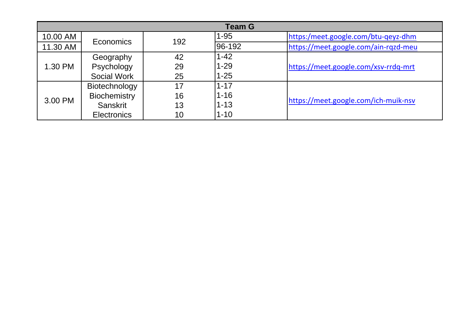|          |                     |     | <b>Team G</b> |             |
|----------|---------------------|-----|---------------|-------------|
| 10.00 AM | <b>Economics</b>    | 192 | $1 - 95$      | <u>httr</u> |
| 11.30 AM |                     |     | 96-192        | http        |
| 1.30 PM  | Geography           | 42  | $1 - 42$      |             |
|          | Psychology          | 29  | $1 - 29$      | httr        |
|          | <b>Social Work</b>  | 25  | $1 - 25$      |             |
| 3.00 PM  | Biotechnology       | 17  | $1 - 17$      |             |
|          | <b>Biochemistry</b> | 16  | $1 - 16$      |             |
|          | <b>Sanskrit</b>     | 13  | $1 - 13$      | http        |
|          | <b>Electronics</b>  | 10  | $1 - 10$      |             |

ps:/meet.google.com/btu-qeyz-dhm ps://meet.google.com/ain-rqzd-meu

ps://meet.google.com/xsv-rrdq-mrt

ps://meet.google.com/ich-muik-nsv